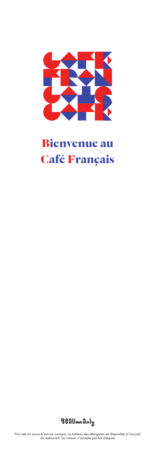

# **Bienvenue au Café Français**



Prix nets en euros & service compris. Le tableau des allergènes est disponible à l'accueil du restaurant. La maison n'accepte pas les chèques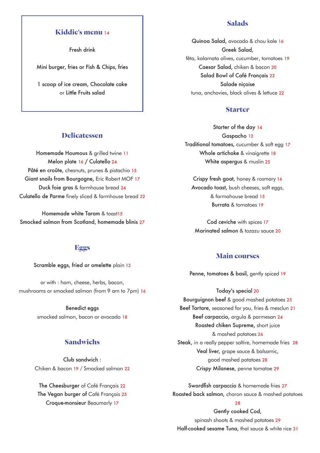# **Kiddie's menu** <sup>14</sup>

Fresh drink

Mini burger, fries or Fish & Chips, fries

1 scoop of ice cream, Chocolate cake or Little Fruits salad

# **Delicatessen**

Homemade Houmous & grilled twine 11 Melon plate 16 / Culatello 24 Pâté en croûte, chesnuts, prunes & pistachio 15 Giant snails from Bourgogne, Eric Robert MOF 17 Duck foie gras & farmhouse bread 24 Culatello de Parme finely sliced & farmhouse bread 22

Homemade white Taram & toast15 Smocked salmon from Scotland, homemade blinis 27

#### **Eggs**

#### Scramble eggs, fried or omelette plain 12

or with : ham, cheese, herbs, bacon, mushrooms or smocked salmon (from 9 am to 7pm) 16

#### Benedict eggs

smocked salmon, bacon or avocado 18

# **Sandwichs**

Club sandwich : Chiken & bacon 19 / Smocked salmon 22

The Cheesburger of Café Français 22 The Vegan burger of Café Français 25 Croque-monsieur Beaumarly 17

# **Salads**

Quinoa Salad, avocado & chou kale 16 Greek Salad, fêta, kalamata olives, cucumber, tomatoes 19 Caesar Salad, chiken & bacon 20 Salad Bowl of Café Français 22 Salade niçoise tuna, anchovies, black olives & lettuce 22

#### **Starter**

Starter of the day 14 Gaspacho 12 Traditional tomatoes, cucumber & soft egg 17 Whole artichoke & vinaigrette 18 White aspergus & muslin 25

Crispy fresh goat, honey & rosmary 16 Avocado toast, bush cheeses, soft eggs, & farmahouse bread 15 Burrata & tomatoes 19

Cod ceviche with spices 17 Marinated salmon & tozazu sauce 20

# **Main courses**

Penne, tomatoes & basil, gently spiced 19

Today's special 20 Bourguignon beef & good mashed potatoes 25 Beef Tartare, seasoned for you, fries & mesclun 21 Beef carpaccio, argula & parmesan 24 Roasted chiken Supreme, short juice & mashed potatoes 26 Steak, in a really pepper saltire, homemade fries 28 Veal liver, grape sauce & balsamic, good mashed potatoes 28 Crispy Milanese, penne tomatoe 29

Swordfish carpaccio & homemade fries 27 Roasted back salmon, choron sauce & mashed potatoes

#### $28$

Gently cooked Cod, spinash shoots & mashed potatoes 29 Half-cooked sesame Tuna, thaï sauce & white rice 31